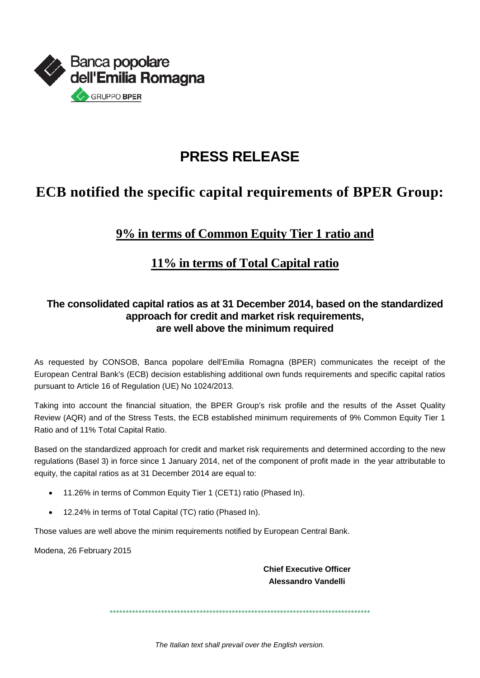

# **PRESS RELEASE**

## **ECB** notified the specific capital requirements of BPER Group:

### 9% in terms of Common Equity Tier 1 ratio and

#### 11% in terms of Total Capital ratio

#### The consolidated capital ratios as at 31 December 2014, based on the standardized approach for credit and market risk requirements, are well above the minimum required

As requested by CONSOB, Banca popolare dell'Emilia Romagna (BPER) communicates the receipt of the European Central Bank's (ECB) decision establishing additional own funds requirements and specific capital ratios pursuant to Article 16 of Regulation (UE) No 1024/2013.

Taking into account the financial situation, the BPER Group's risk profile and the results of the Asset Quality Review (AQR) and of the Stress Tests, the ECB established minimum requirements of 9% Common Equity Tier 1 Ratio and of 11% Total Capital Ratio.

Based on the standardized approach for credit and market risk requirements and determined according to the new regulations (Basel 3) in force since 1 January 2014, net of the component of profit made in the year attributable to equity, the capital ratios as at 31 December 2014 are equal to:

- 11.26% in terms of Common Equity Tier 1 (CET1) ratio (Phased In).
- 12.24% in terms of Total Capital (TC) ratio (Phased In).

Those values are well above the minim requirements notified by European Central Bank.

Modena, 26 February 2015

**Chief Executive Officer** Alessandro Vandelli